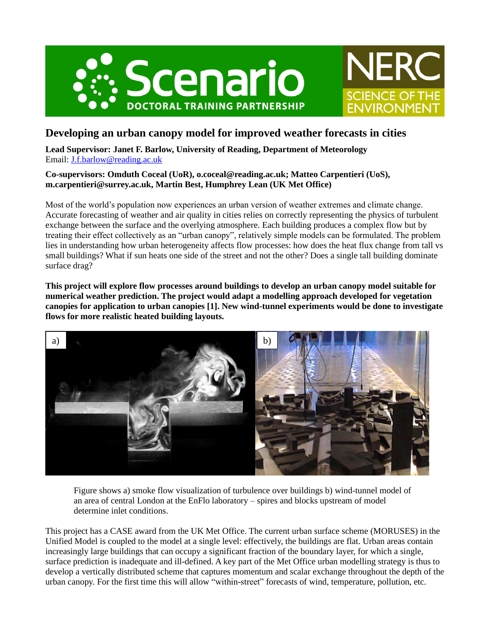



# **Developing an urban canopy model for improved weather forecasts in cities**

**Lead Supervisor: Janet F. Barlow, University of Reading, Department of Meteorology** Email: [J.f.barlow@reading.ac.uk](mailto:J.f.barlow@reading.ac.uk)

# **Co-supervisors: Omduth Coceal (UoR), o.coceal@reading.ac.uk; Matteo Carpentieri (UoS), m.carpentieri@surrey.ac.uk, Martin Best, Humphrey Lean (UK Met Office)**

Most of the world's population now experiences an urban version of weather extremes and climate change. Accurate forecasting of weather and air quality in cities relies on correctly representing the physics of turbulent exchange between the surface and the overlying atmosphere. Each building produces a complex flow but by treating their effect collectively as an "urban canopy", relatively simple models can be formulated. The problem lies in understanding how urban heterogeneity affects flow processes: how does the heat flux change from tall vs small buildings? What if sun heats one side of the street and not the other? Does a single tall building dominate surface drag?

**This project will explore flow processes around buildings to develop an urban canopy model suitable for numerical weather prediction. The project would adapt a modelling approach developed for vegetation canopies for application to urban canopies [1]. New wind-tunnel experiments would be done to investigate flows for more realistic heated building layouts.** 



Figure shows a) smoke flow visualization of turbulence over buildings b) wind-tunnel model of an area of central London at the EnFlo laboratory – spires and blocks upstream of model determine inlet conditions.

This project has a CASE award from the UK Met Office. The current urban surface scheme (MORUSES) in the Unified Model is coupled to the model at a single level: effectively, the buildings are flat. Urban areas contain increasingly large buildings that can occupy a significant fraction of the boundary layer, for which a single, surface prediction is inadequate and ill-defined. A key part of the Met Office urban modelling strategy is thus to develop a vertically distributed scheme that captures momentum and scalar exchange throughout the depth of the urban canopy. For the first time this will allow "within-street" forecasts of wind, temperature, pollution, etc.